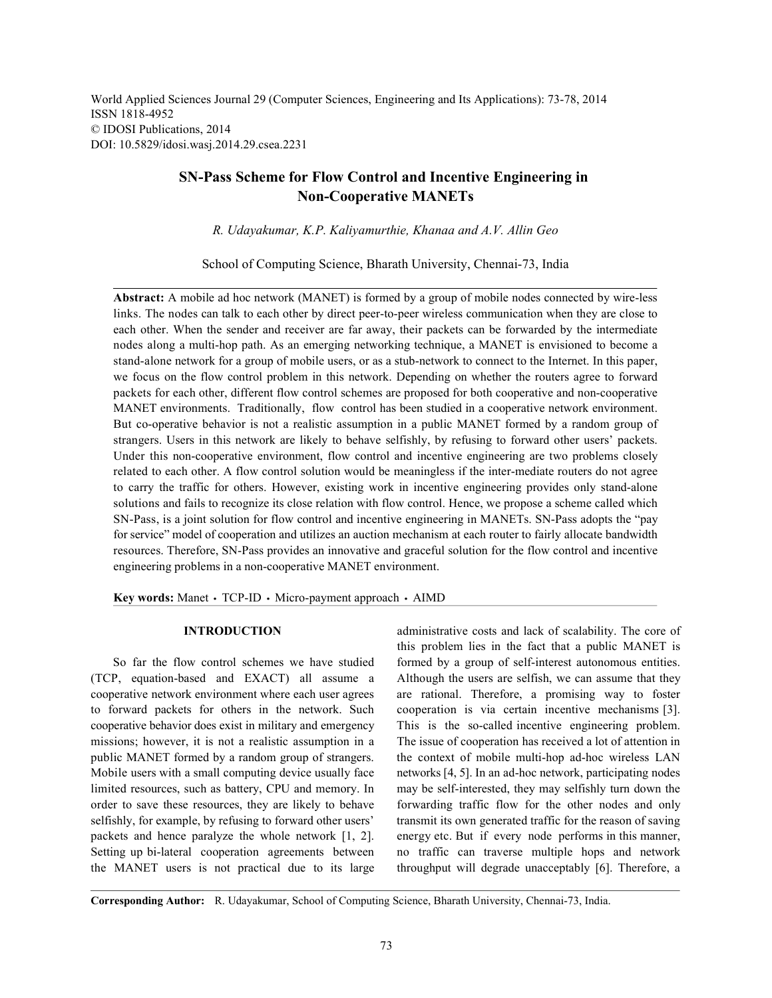World Applied Sciences Journal 29 (Computer Sciences, Engineering and Its Applications): 73-78, 2014 ISSN 1818-4952 © IDOSI Publications, 2014 DOI: 10.5829/idosi.wasj.2014.29.csea.2231

# **SN-Pass Scheme for Flow Control and Incentive Engineering in Non-Cooperative MANETs**

*R. Udayakumar, K.P. Kaliyamurthie, Khanaa and A.V. Allin Geo*

School of Computing Science, Bharath University, Chennai-73, India

**Abstract:** A mobile ad hoc network (MANET) is formed by a group of mobile nodes connected by wire-less links. The nodes can talk to each other by direct peer-to-peer wireless communication when they are close to each other. When the sender and receiver are far away, their packets can be forwarded by the intermediate nodes along a multi-hop path. As an emerging networking technique, a MANET is envisioned to become a stand-alone network for a group of mobile users, or as a stub-network to connect to the Internet. In this paper, we focus on the flow control problem in this network. Depending on whether the routers agree to forward packets for each other, different flow control schemes are proposed for both cooperative and non-cooperative MANET environments. Traditionally, flow control has been studied in a cooperative network environment. But co-operative behavior is not a realistic assumption in a public MANET formed by a random group of strangers. Users in this network are likely to behave selfishly, by refusing to forward other users' packets. Under this non-cooperative environment, flow control and incentive engineering are two problems closely related to each other. A flow control solution would be meaningless if the inter-mediate routers do not agree to carry the traffic for others. However, existing work in incentive engineering provides only stand-alone solutions and fails to recognize its close relation with flow control. Hence, we propose a scheme called which SN-Pass, is a joint solution for flow control and incentive engineering in MANETs. SN-Pass adopts the "pay for service" model of cooperation and utilizes an auction mechanism at each router to fairly allocate bandwidth resources. Therefore, SN-Pass provides an innovative and graceful solution for the flow control and incentive engineering problems in a non-cooperative MANET environment.

**Key words:** Manet • TCP-ID • Micro-payment approach • AIMD

(TCP, equation-based and EXACT) all assume a Although the users are selfish, we can assume that they cooperative network environment where each user agrees are rational. Therefore, a promising way to foster to forward packets for others in the network. Such cooperation is via certain incentive mechanisms [3]. cooperative behavior does exist in military and emergency This is the so-called incentive engineering problem. missions; however, it is not a realistic assumption in a The issue of cooperation has received a lot of attention in public MANET formed by a random group of strangers. the context of mobile multi-hop ad-hoc wireless LAN Mobile users with a small computing device usually face networks [4, 5]. In an ad-hoc network, participating nodes limited resources, such as battery, CPU and memory. In may be self-interested, they may selfishly turn down the order to save these resources, they are likely to behave forwarding traffic flow for the other nodes and only selfishly, for example, by refusing to forward other users' transmit its own generated traffic for the reason of saving packets and hence paralyze the whole network [1, 2]. energy etc. But if every node performs in this manner, Setting up bi-lateral cooperation agreements between no traffic can traverse multiple hops and network the MANET users is not practical due to its large throughput will degrade unacceptably [6]. Therefore, a

**INTRODUCTION** administrative costs and lack of scalability. The core of So far the flow control schemes we have studied formed by a group of self-interest autonomous entities. this problem lies in the fact that a public MANET is

**Corresponding Author:** R. Udayakumar, School of Computing Science, Bharath University, Chennai-73, India.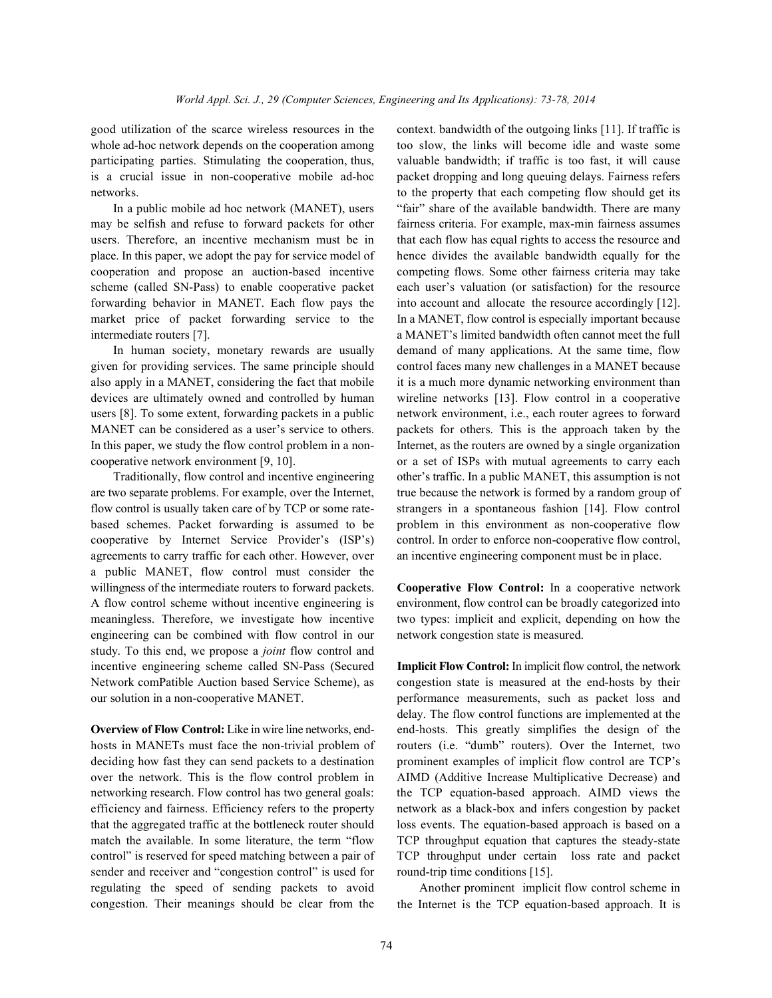good utilization of the scarce wireless resources in the context. bandwidth of the outgoing links [11]. If traffic is

may be selfish and refuse to forward packets for other fairness criteria. For example, max-min fairness assumes users. Therefore, an incentive mechanism must be in that each flow has equal rights to access the resource and place. In this paper, we adopt the pay for service model of hence divides the available bandwidth equally for the cooperation and propose an auction-based incentive competing flows. Some other fairness criteria may take scheme (called SN-Pass) to enable cooperative packet each user's valuation (or satisfaction) for the resource forwarding behavior in MANET. Each flow pays the into account and allocate the resource accordingly [12]. market price of packet forwarding service to the In a MANET, flow control is especially important because intermediate routers [7]. a MANET's limited bandwidth often cannot meet the full

given for providing services. The same principle should control faces many new challenges in a MANET because also apply in a MANET, considering the fact that mobile it is a much more dynamic networking environment than devices are ultimately owned and controlled by human wireline networks [13]. Flow control in a cooperative users [8]. To some extent, forwarding packets in a public network environment, i.e., each router agrees to forward MANET can be considered as a user's service to others. packets for others. This is the approach taken by the In this paper, we study the flow control problem in a non- Internet, as the routers are owned by a single organization

are two separate problems. For example, over the Internet, true because the network is formed by a random group of flow control is usually taken care of by TCP or some rate- strangers in a spontaneous fashion [14]. Flow control based schemes. Packet forwarding is assumed to be problem in this environment as non-cooperative flow cooperative by Internet Service Provider's (ISP's) control. In order to enforce non-cooperative flow control, agreements to carry traffic for each other. However, over an incentive engineering component must be in place. a public MANET, flow control must consider the willingness of the intermediate routers to forward packets. **Cooperative Flow Control:** In a cooperative network A flow control scheme without incentive engineering is environment, flow control can be broadly categorized into meaningless. Therefore, we investigate how incentive two types: implicit and explicit, depending on how the engineering can be combined with flow control in our network congestion state is measured. study. To this end, we propose a *joint* flow control and incentive engineering scheme called SN-Pass (Secured **Implicit Flow Control:** In implicit flow control, the network Network comPatible Auction based Service Scheme), as congestion state is measured at the end-hosts by their our solution in a non-cooperative MANET. performance measurements, such as packet loss and

hosts in MANETs must face the non-trivial problem of routers (i.e. "dumb" routers). Over the Internet, two deciding how fast they can send packets to a destination prominent examples of implicit flow control are TCP's over the network. This is the flow control problem in AIMD (Additive Increase Multiplicative Decrease) and networking research. Flow control has two general goals: the TCP equation-based approach. AIMD views the efficiency and fairness. Efficiency refers to the property network as a black-box and infers congestion by packet that the aggregated traffic at the bottleneck router should loss events. The equation-based approach is based on a match the available. In some literature, the term "flow TCP throughput equation that captures the steady-state control" is reserved for speed matching between a pair of TCP throughput under certain loss rate and packet sender and receiver and "congestion control" is used for round-trip time conditions [15]. regulating the speed of sending packets to avoid Another prominent implicit flow control scheme in congestion. Their meanings should be clear from the

whole ad-hoc network depends on the cooperation among too slow, the links will become idle and waste some participating parties. Stimulating the cooperation, thus, valuable bandwidth; if traffic is too fast, it will cause is a crucial issue in non-cooperative mobile ad-hoc packet dropping and long queuing delays. Fairness refers networks. to the property that each competing flow should get its In a public mobile ad hoc network (MANET), users "fair" share of the available bandwidth. There are many In human society, monetary rewards are usually demand of many applications. At the same time, flow cooperative network environment [9, 10]. or a set of ISPs with mutual agreements to carry each Traditionally, flow control and incentive engineering other's traffic. In a public MANET, this assumption is not

**Overview of Flow Control:** Like in wire line networks, end-<br>end-hosts. This greatly simplifies the design of the delay. The flow control functions are implemented at the

the Internet is the TCP equation-based approach. It is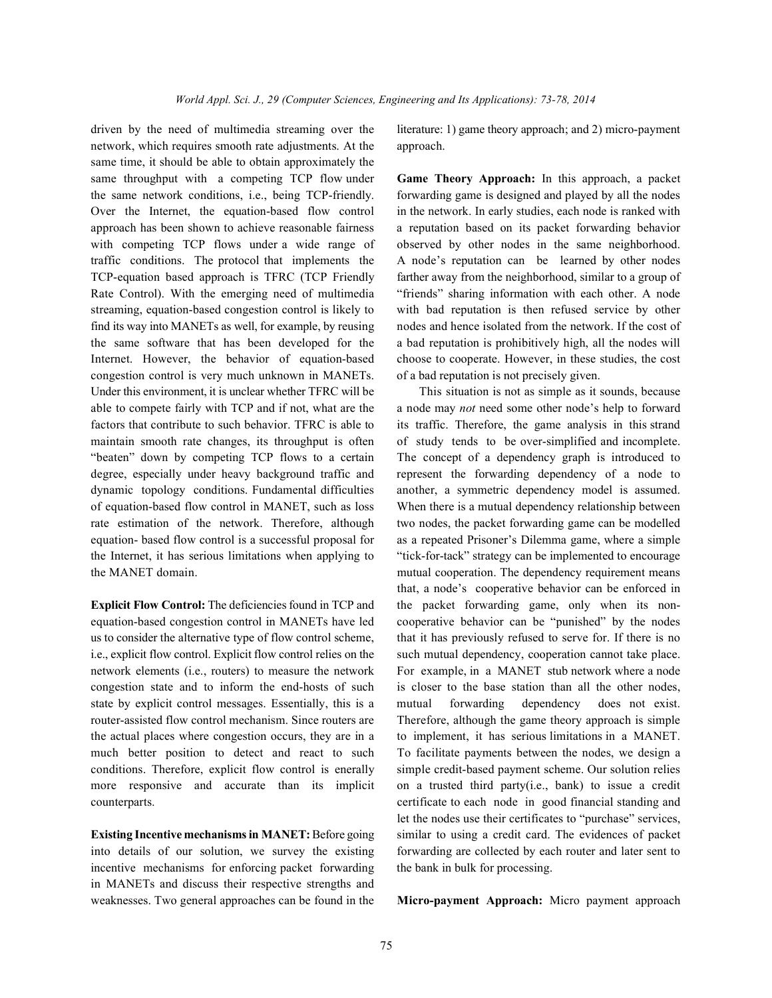network, which requires smooth rate adjustments. At the approach. same time, it should be able to obtain approximately the same throughput with a competing TCP flow under **Game Theory Approach:** In this approach, a packet the same network conditions, i.e., being TCP-friendly. forwarding game is designed and played by all the nodes Over the Internet, the equation-based flow control in the network. In early studies, each node is ranked with approach has been shown to achieve reasonable fairness a reputation based on its packet forwarding behavior with competing TCP flows under a wide range of observed by other nodes in the same neighborhood. traffic conditions. The protocol that implements the A node's reputation can be learned by other nodes TCP-equation based approach is TFRC (TCP Friendly farther away from the neighborhood, similar to a group of Rate Control). With the emerging need of multimedia "friends" sharing information with each other. A node streaming, equation-based congestion control is likely to with bad reputation is then refused service by other find its way into MANETs as well, for example, by reusing nodes and hence isolated from the network. If the cost of the same software that has been developed for the a bad reputation is prohibitively high, all the nodes will Internet. However, the behavior of equation-based choose to cooperate. However, in these studies, the cost congestion control is very much unknown in MANETs. of a bad reputation is not precisely given. Under this environment, it is unclear whether TFRC will be This situation is not as simple as it sounds, because able to compete fairly with TCP and if not, what are the a node may *not* need some other node's help to forward factors that contribute to such behavior. TFRC is able to its traffic. Therefore, the game analysis in this strand maintain smooth rate changes, its throughput is often of study tends to be over-simplified and incomplete. "beaten" down by competing TCP flows to a certain The concept of a dependency graph is introduced to degree, especially under heavy background traffic and represent the forwarding dependency of a node to dynamic topology conditions. Fundamental difficulties another, a symmetric dependency model is assumed. of equation-based flow control in MANET, such as loss When there is a mutual dependency relationship between rate estimation of the network. Therefore, although two nodes, the packet forwarding game can be modelled equation- based flow control is a successful proposal for as a repeated Prisoner's Dilemma game, where a simple the Internet, it has serious limitations when applying to "tick-for-tack" strategy can be implemented to encourage the MANET domain. The dependency requirement means

equation-based congestion control in MANETs have led cooperative behavior can be "punished" by the nodes us to consider the alternative type of flow control scheme, that it has previously refused to serve for. If there is no i.e., explicit flow control. Explicit flow control relies on the such mutual dependency, cooperation cannot take place. network elements (i.e., routers) to measure the network For example, in a MANET stub network where a node congestion state and to inform the end-hosts of such is closer to the base station than all the other nodes, state by explicit control messages. Essentially, this is a mutual forwarding dependency does not exist. router-assisted flow control mechanism. Since routers are Therefore, although the game theory approach is simple the actual places where congestion occurs, they are in a to implement, it has serious limitations in a MANET. much better position to detect and react to such To facilitate payments between the nodes, we design a conditions. Therefore, explicit flow control is enerally simple credit-based payment scheme. Our solution relies more responsive and accurate than its implicit on a trusted third party(i.e., bank) to issue a credit counterparts. certificate to each node in good financial standing and

into details of our solution, we survey the existing forwarding are collected by each router and later sent to incentive mechanisms for enforcing packet forwarding the bank in bulk for processing. in MANETs and discuss their respective strengths and weaknesses. Two general approaches can be found in the **Micro-payment Approach:** Micro payment approach

driven by the need of multimedia streaming over the literature: 1) game theory approach; and 2) micro-payment

**Explicit Flow Control:** The deficiencies found in TCP and the packet forwarding game, only when its non-**Existing Incentive mechanisms in MANET:** Before going similar to using a credit card. The evidences of packet that, a node's cooperative behavior can be enforced in let the nodes use their certificates to "purchase" services,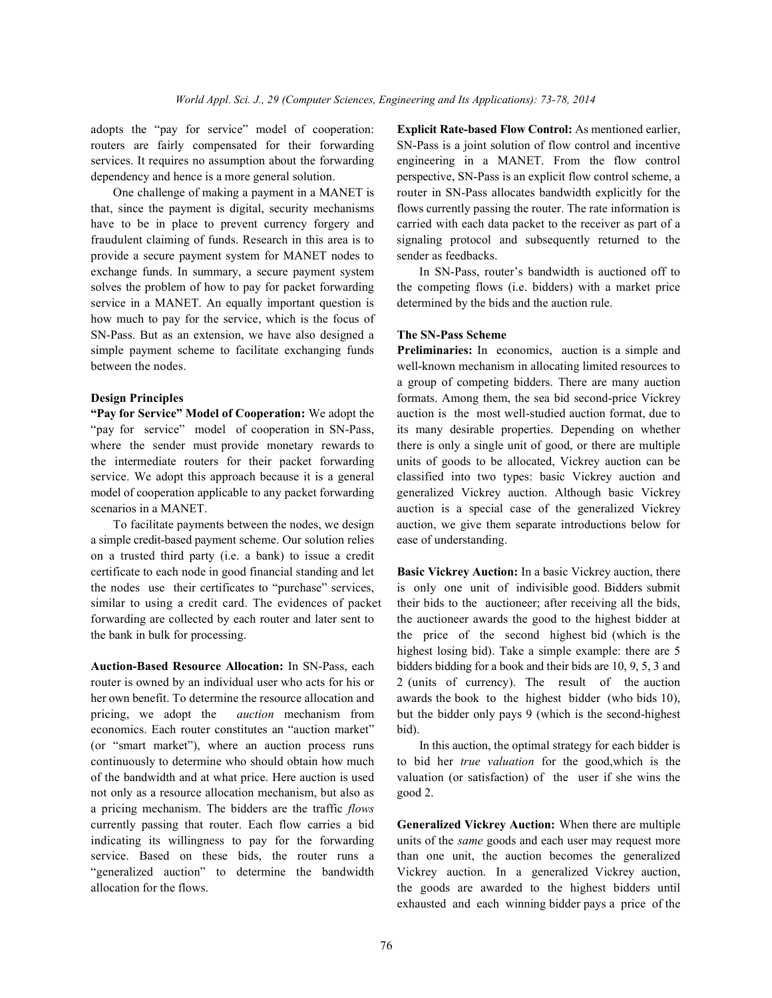dependency and hence is a more general solution. perspective, SN-Pass is an explicit flow control scheme, a

that, since the payment is digital, security mechanisms flows currently passing the router. The rate information is have to be in place to prevent currency forgery and carried with each data packet to the receiver as part of a fraudulent claiming of funds. Research in this area is to signaling protocol and subsequently returned to the provide a secure payment system for MANET nodes to sender as feedbacks. exchange funds. In summary, a secure payment system In SN-Pass, router's bandwidth is auctioned off to solves the problem of how to pay for packet forwarding the competing flows (i.e. bidders) with a market price service in a MANET. An equally important question is determined by the bids and the auction rule. how much to pay for the service, which is the focus of SN-Pass. But as an extension, we have also designed a **The SN-Pass Scheme** simple payment scheme to facilitate exchanging funds **Preliminaries:** In economics, auction is a simple and between the nodes. well-known mechanism in allocating limited resources to

"pay for service" model of cooperation in SN-Pass, its many desirable properties. Depending on whether where the sender must provide monetary rewards to there is only a single unit of good, or there are multiple the intermediate routers for their packet forwarding units of goods to be allocated, Vickrey auction can be service. We adopt this approach because it is a general classified into two types: basic Vickrey auction and model of cooperation applicable to any packet forwarding generalized Vickrey auction. Although basic Vickrey scenarios in a MANET.

a simple credit-based payment scheme. Our solution relies ease of understanding. on a trusted third party (i.e. a bank) to issue a credit certificate to each node in good financial standing and let **Basic Vickrey Auction:** In a basic Vickrey auction, there the nodes use their certificates to "purchase" services, is only one unit of indivisible good. Bidders submit similar to using a credit card. The evidences of packet their bids to the auctioneer; after receiving all the bids, forwarding are collected by each router and later sent to the auctioneer awards the good to the highest bidder at the bank in bulk for processing. the price of the second highest bid (which is the

router is owned by an individual user who acts for his or 2 (units of currency). The result of the auction her own benefit. To determine the resource allocation and awards the book to the highest bidder (who bids 10), pricing, we adopt the *auction* mechanism from but the bidder only pays 9 (which is the second-highest economics. Each router constitutes an "auction market" bid). (or "smart market"), where an auction process runs In this auction, the optimal strategy for each bidder is continuously to determine who should obtain how much to bid her *true valuation* for the good,which is the of the bandwidth and at what price. Here auction is used valuation (or satisfaction) of the user if she wins the not only as a resource allocation mechanism, but also as good 2. a pricing mechanism. The bidders are the traffic *flows* currently passing that router. Each flow carries a bid **Generalized Vickrey Auction:** When there are multiple indicating its willingness to pay for the forwarding units of the *same* goods and each user may request more service. Based on these bids, the router runs a than one unit, the auction becomes the generalized "generalized auction" to determine the bandwidth Vickrey auction. In a generalized Vickrey auction, allocation for the flows. the goods are awarded to the highest bidders until

adopts the "pay for service" model of cooperation: **Explicit Rate-based Flow Control:** As mentioned earlier, routers are fairly compensated for their forwarding SN-Pass is a joint solution of flow control and incentive services. It requires no assumption about the forwarding engineering in a MANET. From the flow control One challenge of making a payment in a MANET is router in SN-Pass allocates bandwidth explicitly for the

**Design Principles Second-principles** *Design* **Principles** *Principles Principles Principles Principles Principles Principles Principles Principles Principles Principles Principl* **"Pay for Service" Model of Cooperation:** We adopt the auction is the most well-studied auction format, due to To facilitate payments between the nodes, we design auction, we give them separate introductions below for a group of competing bidders. There are many auction

**Auction-Based Resource Allocation:** In SN-Pass, each bidders bidding for a book and their bids are 10, 9, 5, 3 and highest losing bid). Take a simple example: there are 5

exhausted and each winning bidder pays a price of the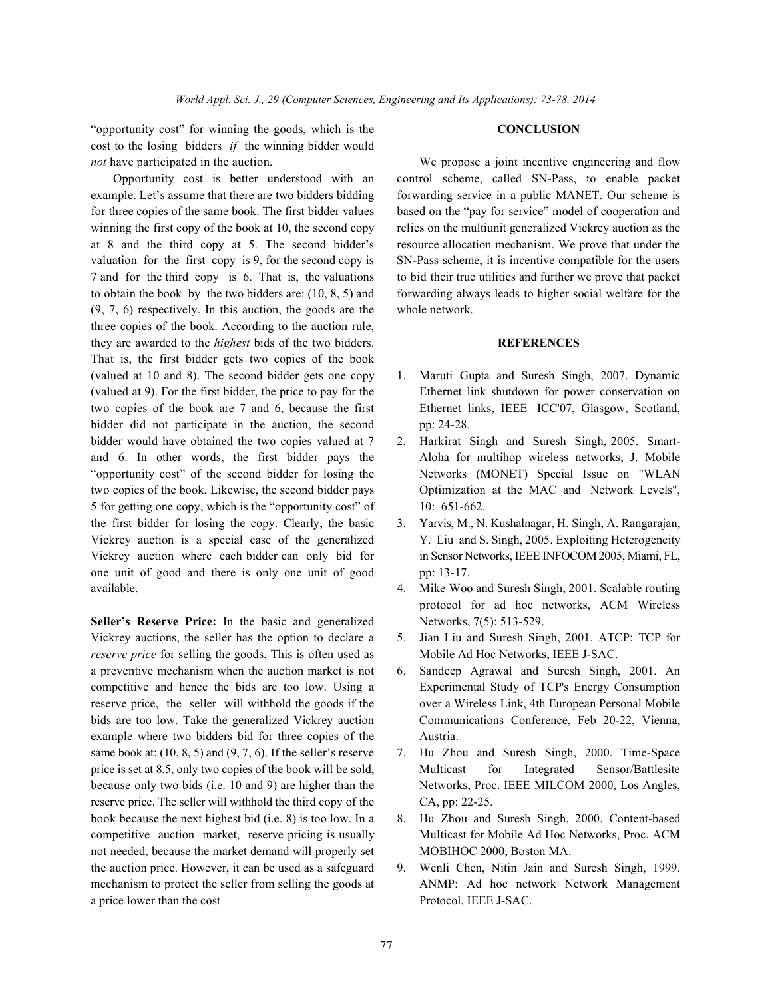"opportunity cost" for winning the goods, which is the **CONCLUSION** cost to the losing bidders *if* the winning bidder would *not* have participated in the auction. We propose a joint incentive engineering and flow

example. Let's assume that there are two bidders bidding forwarding service in a public MANET. Our scheme is for three copies of the same book. The first bidder values based on the "pay for service" model of cooperation and winning the first copy of the book at 10, the second copy relies on the multiunit generalized Vickrey auction as the at 8 and the third copy at 5. The second bidder's resource allocation mechanism. We prove that under the valuation for the first copy is 9, for the second copy is SN-Pass scheme, it is incentive compatible for the users 7 and for the third copy is 6. That is, the valuations to bid their true utilities and further we prove that packet to obtain the book by the two bidders are: (10, 8, 5) and forwarding always leads to higher social welfare for the (9, 7, 6) respectively. In this auction, the goods are the whole network. three copies of the book. According to the auction rule, they are awarded to the *highest* bids of the two bidders. **REFERENCES** That is, the first bidder gets two copies of the book (valued at 10 and 8). The second bidder gets one copy 1. Maruti Gupta and Suresh Singh, 2007. Dynamic (valued at 9). For the first bidder, the price to pay for the Ethernet link shutdown for power conservation on two copies of the book are 7 and 6, because the first Ethernet links, IEEE ICC'07, Glasgow, Scotland, bidder did not participate in the auction, the second pp: 24-28. bidder would have obtained the two copies valued at 7 2. Harkirat Singh and Suresh Singh, 2005. Smartand 6. In other words, the first bidder pays the Aloha for multihop wireless networks, J. Mobile "opportunity cost" of the second bidder for losing the Networks (MONET) Special Issue on "WLAN two copies of the book. Likewise, the second bidder pays Optimization at the MAC and Network Levels", 5 for getting one copy, which is the "opportunity cost" of 10: 651-662. the first bidder for losing the copy. Clearly, the basic 3. Yarvis, M., N. Kushalnagar, H. Singh, A. Rangarajan, Vickrey auction is a special case of the generalized Y. Liu and S. Singh, 2005. Exploiting Heterogeneity Vickrey auction where each bidder can only bid for in Sensor Networks, IEEE INFOCOM 2005, Miami, FL, one unit of good and there is only one unit of good pp: 13-17. available. 4. Mike Woo and Suresh Singh, 2001. Scalable routing

**Seller's Reserve Price:** In the basic and generalized Networks, 7(5): 513-529. Vickrey auctions, the seller has the option to declare a 5. Jian Liu and Suresh Singh, 2001. ATCP: TCP for *reserve price* for selling the goods. This is often used as Mobile Ad Hoc Networks, IEEE J-SAC. a preventive mechanism when the auction market is not 6. Sandeep Agrawal and Suresh Singh, 2001. An competitive and hence the bids are too low. Using a Experimental Study of TCP's Energy Consumption reserve price, the seller will withhold the goods if the over a Wireless Link, 4th European Personal Mobile bids are too low. Take the generalized Vickrey auction Communications Conference, Feb 20-22, Vienna, example where two bidders bid for three copies of the Austria. same book at: (10, 8, 5) and (9, 7, 6). If the seller's reserve 7. Hu Zhou and Suresh Singh, 2000. Time-Space price is set at 8.5, only two copies of the book will be sold, Multicast for Integrated Sensor/Battlesite because only two bids (i.e. 10 and 9) are higher than the Networks, Proc. IEEE MILCOM 2000, Los Angles, reserve price. The seller will withhold the third copy of the CA, pp: 22-25. book because the next highest bid (i.e. 8) is too low. In a 8. Hu Zhou and Suresh Singh, 2000. Content-based competitive auction market, reserve pricing is usually Multicast for Mobile Ad Hoc Networks, Proc. ACM not needed, because the market demand will properly set MOBIHOC 2000, Boston MA. the auction price. However, it can be used as a safeguard 9. Wenli Chen, Nitin Jain and Suresh Singh, 1999. a price lower than the cost Protocol, IEEE J-SAC.

Opportunity cost is better understood with an control scheme, called SN-Pass, to enable packet

- 
- 
- 
- protocol for ad hoc networks, ACM Wireless
- 
- 
- 
- 
- mechanism to protect the seller from selling the goods at ANMP: Ad hoc network Network Management